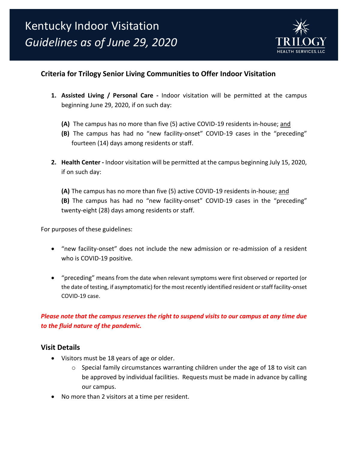

## **Criteria for Trilogy Senior Living Communities to Offer Indoor Visitation**

- **1. Assisted Living / Personal Care -** Indoor visitation will be permitted at the campus beginning June 29, 2020, if on such day:
	- **(A)** The campus has no more than five (5) active COVID-19 residents in-house; and
	- **(B)** The campus has had no "new facility-onset" COVID-19 cases in the "preceding" fourteen (14) days among residents or staff.
- **2. Health Center -** Indoor visitation will be permitted at the campus beginning July 15, 2020, if on such day:

**(A)** The campus has no more than five (5) active COVID-19 residents in-house; and **(B)** The campus has had no "new facility-onset" COVID-19 cases in the "preceding" twenty-eight (28) days among residents or staff.

For purposes of these guidelines:

- "new facility-onset" does not include the new admission or re-admission of a resident who is COVID-19 positive.
- "preceding" means from the date when relevant symptoms were first observed or reported (or the date of testing, if asymptomatic) for the most recently identified resident or staff facility-onset COVID-19 case.

### *Please note that the campus reserves the right to suspend visits to our campus at any time due to the fluid nature of the pandemic.*

#### **Visit Details**

- Visitors must be 18 years of age or older.
	- $\circ$  Special family circumstances warranting children under the age of 18 to visit can be approved by individual facilities. Requests must be made in advance by calling our campus.
- No more than 2 visitors at a time per resident.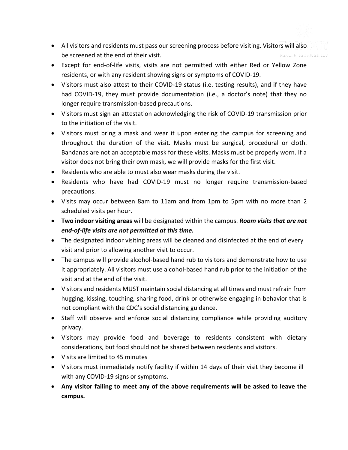- All visitors and residents must pass our screening process before visiting. Visitors will also be screened at the end of their visit.
- Except for end-of-life visits, visits are not permitted with either Red or Yellow Zone residents, or with any resident showing signs or symptoms of COVID-19.
- Visitors must also attest to their COVID-19 status (i.e. testing results), and if they have had COVID-19, they must provide documentation (i.e., a doctor's note) that they no longer require transmission-based precautions.
- Visitors must sign an attestation acknowledging the risk of COVID-19 transmission prior to the initiation of the visit.
- Visitors must bring a mask and wear it upon entering the campus for screening and throughout the duration of the visit. Masks must be surgical, procedural or cloth. Bandanas are not an acceptable mask for these visits. Masks must be properly worn. If a visitor does not bring their own mask, we will provide masks for the first visit.
- Residents who are able to must also wear masks during the visit.
- Residents who have had COVID-19 must no longer require transmission-based precautions.
- Visits may occur between 8am to 11am and from 1pm to 5pm with no more than 2 scheduled visits per hour.
- **Two indoor visiting areas** will be designated within the campus. *Room visits that are not end-of-life visits are not permitted at this time.*
- The designated indoor visiting areas will be cleaned and disinfected at the end of every visit and prior to allowing another visit to occur.
- The campus will provide alcohol-based hand rub to visitors and demonstrate how to use it appropriately. All visitors must use alcohol-based hand rub prior to the initiation of the visit and at the end of the visit.
- Visitors and residents MUST maintain social distancing at all times and must refrain from hugging, kissing, touching, sharing food, drink or otherwise engaging in behavior that is not compliant with the CDC's social distancing guidance.
- Staff will observe and enforce social distancing compliance while providing auditory privacy.
- Visitors may provide food and beverage to residents consistent with dietary considerations, but food should not be shared between residents and visitors.
- Visits are limited to 45 minutes
- Visitors must immediately notify facility if within 14 days of their visit they become ill with any COVID-19 signs or symptoms.
- **Any visitor failing to meet any of the above requirements will be asked to leave the campus.**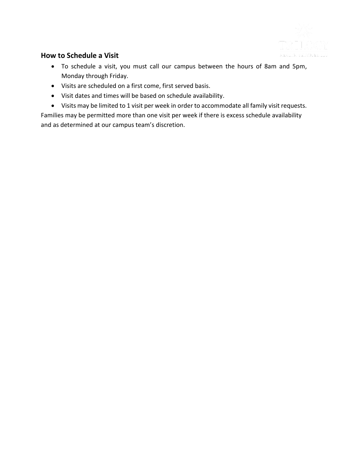

#### **How to Schedule a Visit**

- To schedule a visit, you must call our campus between the hours of 8am and 5pm, Monday through Friday.
- Visits are scheduled on a first come, first served basis.
- Visit dates and times will be based on schedule availability.
- Visits may be limited to 1 visit per week in order to accommodate all family visit requests.

Families may be permitted more than one visit per week if there is excess schedule availability and as determined at our campus team's discretion.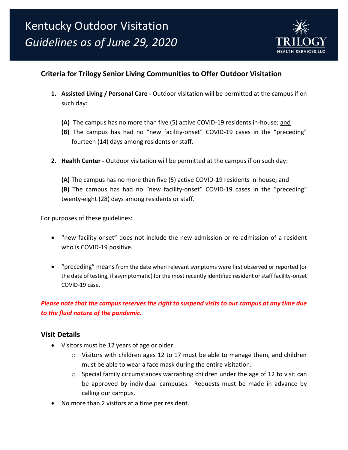

## **Criteria for Trilogy Senior Living Communities to Offer Outdoor Visitation**

- **1. Assisted Living / Personal Care -** Outdoor visitation will be permitted at the campus if on such day:
	- **(A)** The campus has no more than five (5) active COVID-19 residents in-house; and
	- **(B)** The campus has had no "new facility-onset" COVID-19 cases in the "preceding" fourteen (14) days among residents or staff.
- **2. Health Center -** Outdoor visitation will be permitted at the campus if on such day:

**(A)** The campus has no more than five (5) active COVID-19 residents in-house; and **(B)** The campus has had no "new facility-onset" COVID-19 cases in the "preceding" twenty-eight (28) days among residents or staff.

For purposes of these guidelines:

- "new facility-onset" does not include the new admission or re-admission of a resident who is COVID-19 positive.
- "preceding" means from the date when relevant symptoms were first observed or reported (or the date of testing, if asymptomatic) for the most recently identified resident or staff facility-onset COVID-19 case.

### *Please note that the campus reserves the right to suspend visits to our campus at any time due to the fluid nature of the pandemic.*

#### **Visit Details**

- Visitors must be 12 years of age or older.
	- $\circ$  Visitors with children ages 12 to 17 must be able to manage them, and children must be able to wear a face mask during the entire visitation.
	- $\circ$  Special family circumstances warranting children under the age of 12 to visit can be approved by individual campuses. Requests must be made in advance by calling our campus.
- No more than 2 visitors at a time per resident.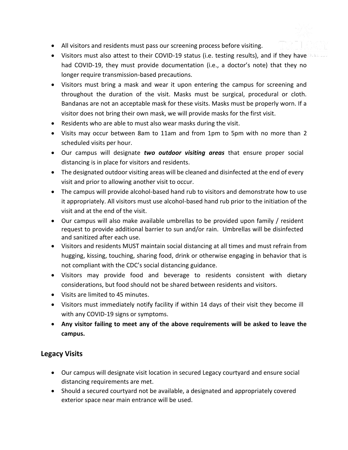- All visitors and residents must pass our screening process before visiting.
- Visitors must also attest to their COVID-19 status (i.e. testing results), and if they have had COVID-19, they must provide documentation (i.e., a doctor's note) that they no longer require transmission-based precautions.
- Visitors must bring a mask and wear it upon entering the campus for screening and throughout the duration of the visit. Masks must be surgical, procedural or cloth. Bandanas are not an acceptable mask for these visits. Masks must be properly worn. If a visitor does not bring their own mask, we will provide masks for the first visit.
- Residents who are able to must also wear masks during the visit.
- Visits may occur between 8am to 11am and from 1pm to 5pm with no more than 2 scheduled visits per hour.
- Our campus will designate *two outdoor visiting areas* that ensure proper social distancing is in place for visitors and residents.
- The designated outdoor visiting areas will be cleaned and disinfected at the end of every visit and prior to allowing another visit to occur.
- The campus will provide alcohol-based hand rub to visitors and demonstrate how to use it appropriately. All visitors must use alcohol-based hand rub prior to the initiation of the visit and at the end of the visit.
- Our campus will also make available umbrellas to be provided upon family / resident request to provide additional barrier to sun and/or rain. Umbrellas will be disinfected and sanitized after each use.
- Visitors and residents MUST maintain social distancing at all times and must refrain from hugging, kissing, touching, sharing food, drink or otherwise engaging in behavior that is not compliant with the CDC's social distancing guidance.
- Visitors may provide food and beverage to residents consistent with dietary considerations, but food should not be shared between residents and visitors.
- Visits are limited to 45 minutes.
- Visitors must immediately notify facility if within 14 days of their visit they become ill with any COVID-19 signs or symptoms.
- **Any visitor failing to meet any of the above requirements will be asked to leave the campus.**

# **Legacy Visits**

- Our campus will designate visit location in secured Legacy courtyard and ensure social distancing requirements are met.
- Should a secured courtyard not be available, a designated and appropriately covered exterior space near main entrance will be used.